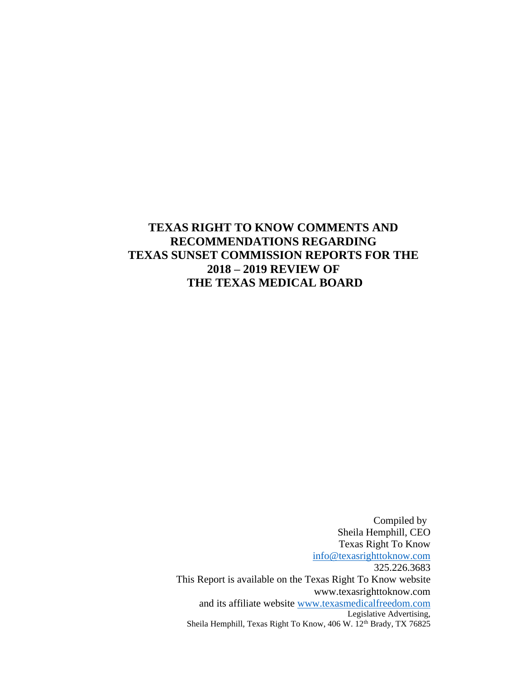# **TEXAS RIGHT TO KNOW COMMENTS AND RECOMMENDATIONS REGARDING TEXAS SUNSET COMMISSION REPORTS FOR THE 2018 – 2019 REVIEW OF THE TEXAS MEDICAL BOARD**

 Compiled by Sheila Hemphill, CEO Texas Right To Know [info@texasrighttoknow.com](mailto:info@texasrighttoknow.com) 325.226.3683 This Report is available on the Texas Right To Know website www.texasrighttoknow.com and its affiliate website [www.texasmedicalfreedom.com](http://www.texasmedicalfreedom.com/) Legislative Advertising, Sheila Hemphill, Texas Right To Know, 406 W. 12<sup>th</sup> Brady, TX 76825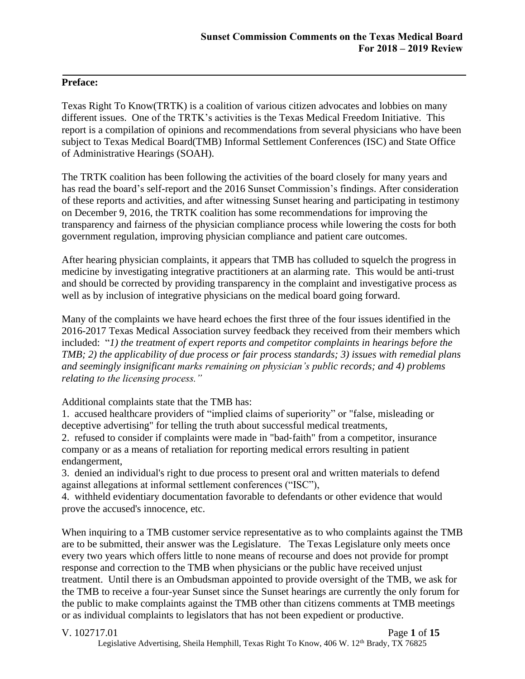#### **Preface:**

Texas Right To Know(TRTK) is a coalition of various citizen advocates and lobbies on many different issues. One of the TRTK's activities is the Texas Medical Freedom Initiative. This report is a compilation of opinions and recommendations from several physicians who have been subject to Texas Medical Board(TMB) Informal Settlement Conferences (ISC) and State Office of Administrative Hearings (SOAH).

The TRTK coalition has been following the activities of the board closely for many years and has read the board's self-report and the 2016 Sunset Commission's findings. After consideration of these reports and activities, and after witnessing Sunset hearing and participating in testimony on December 9, 2016, the TRTK coalition has some recommendations for improving the transparency and fairness of the physician compliance process while lowering the costs for both government regulation, improving physician compliance and patient care outcomes.

After hearing physician complaints, it appears that TMB has colluded to squelch the progress in medicine by investigating integrative practitioners at an alarming rate. This would be anti-trust and should be corrected by providing transparency in the complaint and investigative process as well as by inclusion of integrative physicians on the medical board going forward.

Many of the complaints we have heard echoes the first three of the four issues identified in the 2016-2017 Texas Medical Association survey feedback they received from their members which included: "*1) the treatment of expert reports and competitor complaints in hearings before the TMB; 2) the applicability of due process or fair process standards; 3) issues with remedial plans and seemingly insignificant marks remaining on physician's public records; and 4) problems relating to the licensing process."*

Additional complaints state that the TMB has:

1. accused healthcare providers of "implied claims of superiority" or "false, misleading or deceptive advertising" for telling the truth about successful medical treatments,

2. refused to consider if complaints were made in "bad‐faith" from a competitor, insurance company or as a means of retaliation for reporting medical errors resulting in patient endangerment,

3. denied an individual's right to due process to present oral and written materials to defend against allegations at informal settlement conferences ("ISC"),

4. withheld evidentiary documentation favorable to defendants or other evidence that would prove the accused's innocence, etc.

When inquiring to a TMB customer service representative as to who complaints against the TMB are to be submitted, their answer was the Legislature. The Texas Legislature only meets once every two years which offers little to none means of recourse and does not provide for prompt response and correction to the TMB when physicians or the public have received unjust treatment. Until there is an Ombudsman appointed to provide oversight of the TMB, we ask for the TMB to receive a four-year Sunset since the Sunset hearings are currently the only forum for the public to make complaints against the TMB other than citizens comments at TMB meetings or as individual complaints to legislators that has not been expedient or productive.

V. 102717.01 Page **1** of **15** Legislative Advertising, Sheila Hemphill, Texas Right To Know, 406 W. 12<sup>th</sup> Brady, TX 76825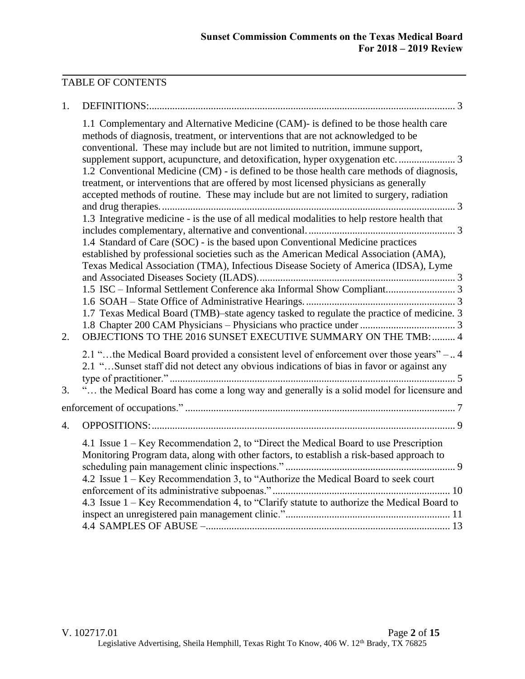## TABLE OF CONTENTS

| 1.               |                                                                                                                                                                                                                                                                                                                                                                                                                                                                                                                                                  |
|------------------|--------------------------------------------------------------------------------------------------------------------------------------------------------------------------------------------------------------------------------------------------------------------------------------------------------------------------------------------------------------------------------------------------------------------------------------------------------------------------------------------------------------------------------------------------|
|                  | 1.1 Complementary and Alternative Medicine (CAM)- is defined to be those health care<br>methods of diagnosis, treatment, or interventions that are not acknowledged to be<br>conventional. These may include but are not limited to nutrition, immune support,<br>1.2 Conventional Medicine (CM) - is defined to be those health care methods of diagnosis,<br>treatment, or interventions that are offered by most licensed physicians as generally<br>accepted methods of routine. These may include but are not limited to surgery, radiation |
|                  | 1.3 Integrative medicine - is the use of all medical modalities to help restore health that                                                                                                                                                                                                                                                                                                                                                                                                                                                      |
|                  | 1.4 Standard of Care (SOC) - is the based upon Conventional Medicine practices<br>established by professional societies such as the American Medical Association (AMA),<br>Texas Medical Association (TMA), Infectious Disease Society of America (IDSA), Lyme                                                                                                                                                                                                                                                                                   |
|                  | 1.7 Texas Medical Board (TMB)-state agency tasked to regulate the practice of medicine. 3                                                                                                                                                                                                                                                                                                                                                                                                                                                        |
| 2.               | OBJECTIONS TO THE 2016 SUNSET EXECUTIVE SUMMARY ON THE TMB:  4                                                                                                                                                                                                                                                                                                                                                                                                                                                                                   |
|                  | 2.1 "the Medical Board provided a consistent level of enforcement over those years" - 4<br>2.1 "Sunset staff did not detect any obvious indications of bias in favor or against any                                                                                                                                                                                                                                                                                                                                                              |
| 3.               | " the Medical Board has come a long way and generally is a solid model for licensure and                                                                                                                                                                                                                                                                                                                                                                                                                                                         |
|                  |                                                                                                                                                                                                                                                                                                                                                                                                                                                                                                                                                  |
| $\overline{4}$ . |                                                                                                                                                                                                                                                                                                                                                                                                                                                                                                                                                  |
|                  | 4.1 Issue 1 – Key Recommendation 2, to "Direct the Medical Board to use Prescription<br>Monitoring Program data, along with other factors, to establish a risk-based approach to<br>4.2 Issue 1 - Key Recommendation 3, to "Authorize the Medical Board to seek court<br>4.3 Issue 1 – Key Recommendation 4, to "Clarify statute to authorize the Medical Board to                                                                                                                                                                               |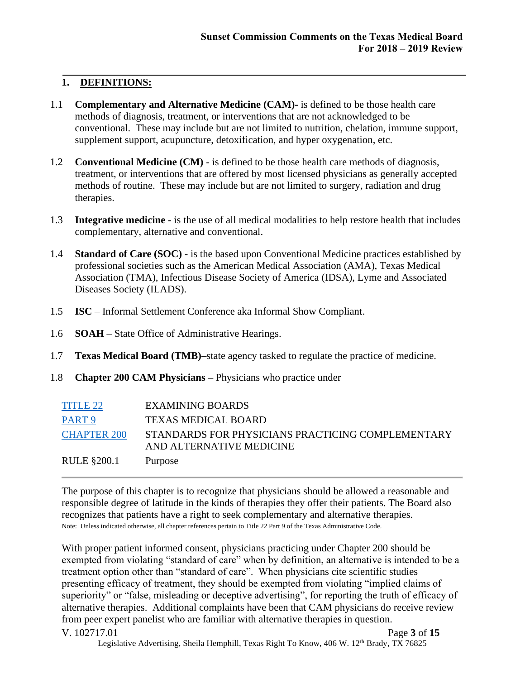### <span id="page-3-0"></span>**1. DEFINITIONS:**

- <span id="page-3-1"></span>1.1 **Complementary and Alternative Medicine (CAM)-** is defined to be those health care methods of diagnosis, treatment, or interventions that are not acknowledged to be conventional. These may include but are not limited to nutrition, chelation, immune support, supplement support, acupuncture, detoxification, and hyper oxygenation, etc.
- <span id="page-3-2"></span>1.2 **Conventional Medicine (CM)** - is defined to be those health care methods of diagnosis, treatment, or interventions that are offered by most licensed physicians as generally accepted methods of routine. These may include but are not limited to surgery, radiation and drug therapies.
- <span id="page-3-3"></span>1.3 **Integrative medicine -** is the use of all medical modalities to help restore health that includes complementary, alternative and conventional.
- <span id="page-3-4"></span>1.4 **Standard of Care (SOC) -** is the based upon Conventional Medicine practices established by professional societies such as the American Medical Association (AMA), Texas Medical Association (TMA), Infectious Disease Society of America (IDSA), Lyme and Associated Diseases Society (ILADS).
- <span id="page-3-5"></span>1.5 **ISC** – Informal Settlement Conference aka Informal Show Compliant.
- <span id="page-3-6"></span>1.6 **SOAH** – State Office of Administrative Hearings.
- <span id="page-3-7"></span>1.7 **Texas Medical Board (TMB)–**state agency tasked to regulate the practice of medicine.
- <span id="page-3-8"></span>1.8 **Chapter 200 CAM Physicians –** Physicians who practice under

| TITLE 22           | <b>EXAMINING BOARDS</b>                                                       |
|--------------------|-------------------------------------------------------------------------------|
| PART 9             | TEXAS MEDICAL BOARD                                                           |
| <b>CHAPTER 200</b> | STANDARDS FOR PHYSICIANS PRACTICING COMPLEMENTARY<br>AND ALTERNATIVE MEDICINE |
| RULE §200.1        | Purpose                                                                       |

The purpose of this chapter is to recognize that physicians should be allowed a reasonable and responsible degree of latitude in the kinds of therapies they offer their patients. The Board also recognizes that patients have a right to seek complementary and alternative therapies. Note: Unless indicated otherwise, all chapter references pertain to Title 22 Part 9 of the Texas Administrative Code.

V. 102717.01 Page **3** of **15** With proper patient informed consent, physicians practicing under Chapter 200 should be exempted from violating "standard of care" when by definition, an alternative is intended to be a treatment option other than "standard of care". When physicians cite scientific studies presenting efficacy of treatment, they should be exempted from violating "implied claims of superiority" or "false, misleading or deceptive advertising", for reporting the truth of efficacy of alternative therapies. Additional complaints have been that CAM physicians do receive review from peer expert panelist who are familiar with alternative therapies in question.

Legislative Advertising, Sheila Hemphill, Texas Right To Know, 406 W. 12<sup>th</sup> Brady, TX 76825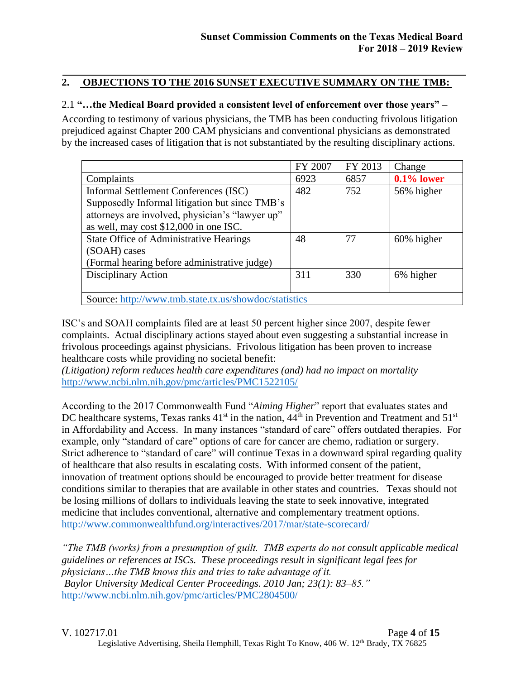## <span id="page-4-0"></span>**2. OBJECTIONS TO THE 2016 SUNSET EXECUTIVE SUMMARY ON THE TMB:**

#### <span id="page-4-1"></span>2.1 **"…the Medical Board provided a consistent level of enforcement over those years" –**

According to testimony of various physicians, the TMB has been conducting frivolous litigation prejudiced against Chapter 200 CAM physicians and conventional physicians as demonstrated by the increased cases of litigation that is not substantiated by the resulting disciplinary actions.

|                                                       | FY 2007 | FY 2013 | Change        |  |  |
|-------------------------------------------------------|---------|---------|---------------|--|--|
| Complaints                                            | 6923    | 6857    | $0.1\%$ lower |  |  |
| Informal Settlement Conferences (ISC)                 | 482     | 752     | 56% higher    |  |  |
| Supposedly Informal litigation but since TMB's        |         |         |               |  |  |
| attorneys are involved, physician's "lawyer up"       |         |         |               |  |  |
| as well, may cost \$12,000 in one ISC.                |         |         |               |  |  |
| <b>State Office of Administrative Hearings</b>        | 48      | 77      | 60% higher    |  |  |
| (SOAH) cases                                          |         |         |               |  |  |
| (Formal hearing before administrative judge)          |         |         |               |  |  |
| <b>Disciplinary Action</b>                            | 311     | 330     | 6% higher     |  |  |
|                                                       |         |         |               |  |  |
| Source: http://www.tmb.state.tx.us/showdoc/statistics |         |         |               |  |  |

ISC's and SOAH complaints filed are at least 50 percent higher since 2007, despite fewer complaints. Actual disciplinary actions stayed about even suggesting a substantial increase in frivolous proceedings against physicians. Frivolous litigation has been proven to increase healthcare costs while providing no societal benefit:

*(Litigation) reform reduces health care expenditures (and) had no impact on mortality* <http://www.ncbi.nlm.nih.gov/pmc/articles/PMC1522105/>

According to the 2017 Commonwealth Fund "*Aiming Higher*" report that evaluates states and DC healthcare systems, Texas ranks  $41^{st}$  in the nation,  $44^{th}$  in Prevention and Treatment and  $51^{st}$ in Affordability and Access. In many instances "standard of care" offers outdated therapies. For example, only "standard of care" options of care for cancer are chemo, radiation or surgery. Strict adherence to "standard of care" will continue Texas in a downward spiral regarding quality of healthcare that also results in escalating costs. With informed consent of the patient, innovation of treatment options should be encouraged to provide better treatment for disease conditions similar to therapies that are available in other states and countries. Texas should not be losing millions of dollars to individuals leaving the state to seek innovative, integrated medicine that includes conventional, alternative and complementary treatment options. <http://www.commonwealthfund.org/interactives/2017/mar/state-scorecard/>

*"The TMB (works) from a presumption of guilt. TMB experts do not consult applicable medical guidelines or references at ISCs. These proceedings result in significant legal fees for physicians…the TMB knows this and tries to take advantage of it. Baylor University Medical Center Proceedings. 2010 Jan; 23(1): 83–85."* <http://www.ncbi.nlm.nih.gov/pmc/articles/PMC2804500/>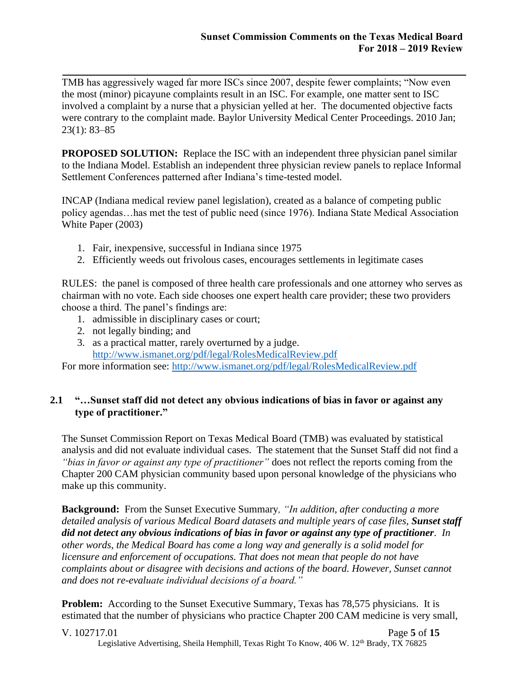TMB has aggressively waged far more ISCs since 2007, despite fewer complaints; "Now even the most (minor) picayune complaints result in an ISC. For example, one matter sent to ISC involved a complaint by a nurse that a physician yelled at her. The documented objective facts were contrary to the complaint made. Baylor University Medical Center Proceedings. 2010 Jan; 23(1): 83–85

**PROPOSED SOLUTION:** Replace the ISC with an independent three physician panel similar to the Indiana Model. Establish an independent three physician review panels to replace Informal Settlement Conferences patterned after Indiana's time-tested model.

INCAP (Indiana medical review panel legislation), created as a balance of competing public policy agendas…has met the test of public need (since 1976). Indiana State Medical Association White Paper (2003)

- 1. Fair, inexpensive, successful in Indiana since 1975
- 2. Efficiently weeds out frivolous cases, encourages settlements in legitimate cases

RULES: the panel is composed of three health care professionals and one attorney who serves as chairman with no vote. Each side chooses one expert health care provider; these two providers choose a third. The panel's findings are:

- 1. admissible in disciplinary cases or court;
- 2. not legally binding; and
- 3. as a practical matter, rarely overturned by a judge.

<http://www.ismanet.org/pdf/legal/RolesMedicalReview.pdf>

For more information see:<http://www.ismanet.org/pdf/legal/RolesMedicalReview.pdf>

#### <span id="page-5-0"></span>**2.1 "…Sunset staff did not detect any obvious indications of bias in favor or against any type of practitioner."**

The Sunset Commission Report on Texas Medical Board (TMB) was evaluated by statistical analysis and did not evaluate individual cases. The statement that the Sunset Staff did not find a *"bias in favor or against any type of practitioner"* does not reflect the reports coming from the Chapter 200 CAM physician community based upon personal knowledge of the physicians who make up this community.

**Background:** From the Sunset Executive Summary*, "In addition, after conducting a more detailed analysis of various Medical Board datasets and multiple years of case files, Sunset staff did not detect any obvious indications of bias in favor or against any type of practitioner. In other words, the Medical Board has come a long way and generally is a solid model for licensure and enforcement of occupations. That does not mean that people do not have complaints about or disagree with decisions and actions of the board. However, Sunset cannot and does not re-evaluate individual decisions of a board."*

**Problem:** According to the Sunset Executive Summary, Texas has 78,575 physicians. It is estimated that the number of physicians who practice Chapter 200 CAM medicine is very small,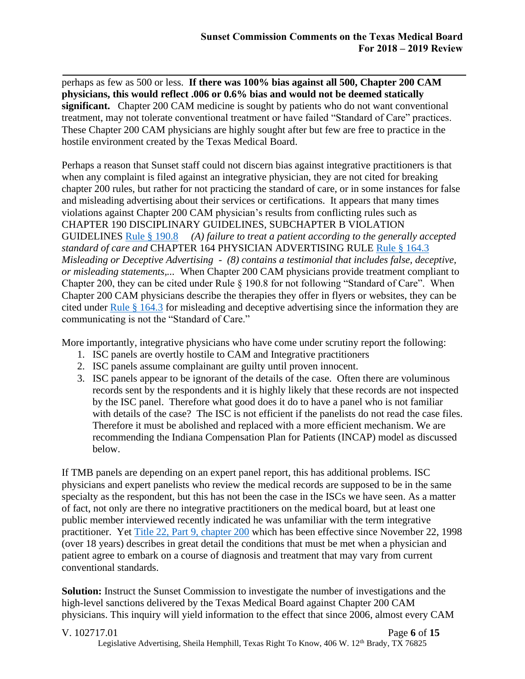perhaps as few as 500 or less. **If there was 100% bias against all 500, Chapter 200 CAM physicians, this would reflect .006 or 0.6% bias and would not be deemed statically significant.** Chapter 200 CAM medicine is sought by patients who do not want conventional treatment, may not tolerate conventional treatment or have failed "Standard of Care" practices. These Chapter 200 CAM physicians are highly sought after but few are free to practice in the hostile environment created by the Texas Medical Board.

Perhaps a reason that Sunset staff could not discern bias against integrative practitioners is that when any complaint is filed against an integrative physician, they are not cited for breaking chapter 200 rules, but rather for not practicing the standard of care, or in some instances for false and misleading advertising about their services or certifications. It appears that many times violations against Chapter 200 CAM physician's results from conflicting rules such as CHAPTER 190 DISCIPLINARY GUIDELINES, SUBCHAPTER B VIOLATION GUIDELINES [Rule § 190.8](https://texreg.sos.state.tx.us/public/readtac$ext.TacPage?sl=R&app=9&p_dir=&p_rloc=&p_tloc=&p_ploc=&pg=1&p_tac=&ti=22&pt=9&ch=190&rl=8) *(A) failure to treat a patient according to the generally accepted standard of care and* CHAPTER 164 PHYSICIAN ADVERTISING RULE [Rule § 164.3](https://texreg.sos.state.tx.us/public/readtac$ext.TacPage?sl=R&app=9&p_dir=&p_rloc=&p_tloc=&p_ploc=&pg=1&p_tac=&ti=22&pt=9&ch=164&rl=3) *Misleading or Deceptive Advertising - (8) contains a testimonial that includes false, deceptive, or misleading statements,...* When Chapter 200 CAM physicians provide treatment compliant to Chapter 200, they can be cited under Rule § 190.8 for not following "Standard of Care". When Chapter 200 CAM physicians describe the therapies they offer in flyers or websites, they can be cited under [Rule § 164.3](https://texreg.sos.state.tx.us/public/readtac$ext.TacPage?sl=R&app=9&p_dir=&p_rloc=&p_tloc=&p_ploc=&pg=1&p_tac=&ti=22&pt=9&ch=164&rl=3) for misleading and deceptive advertising since the information they are communicating is not the "Standard of Care."

More importantly, integrative physicians who have come under scrutiny report the following:

- 1. ISC panels are overtly hostile to CAM and Integrative practitioners
- 2. ISC panels assume complainant are guilty until proven innocent.
- 3. ISC panels appear to be ignorant of the details of the case. Often there are voluminous records sent by the respondents and it is highly likely that these records are not inspected by the ISC panel. Therefore what good does it do to have a panel who is not familiar with details of the case? The ISC is not efficient if the panelists do not read the case files. Therefore it must be abolished and replaced with a more efficient mechanism. We are recommending the Indiana Compensation Plan for Patients (INCAP) model as discussed below.

If TMB panels are depending on an expert panel report, this has additional problems. ISC physicians and expert panelists who review the medical records are supposed to be in the same specialty as the respondent, but this has not been the case in the ISCs we have seen. As a matter of fact, not only are there no integrative practitioners on the medical board, but at least one public member interviewed recently indicated he was unfamiliar with the term integrative practitioner. Yet [Title 22, Part 9, chapter 200](https://texreg.sos.state.tx.us/public/readtac$ext.ViewTAC?tac_view=4&ti=22&pt=9&ch=200&rl=Y) which has been effective since November 22, 1998 (over 18 years) describes in great detail the conditions that must be met when a physician and patient agree to embark on a course of diagnosis and treatment that may vary from current conventional standards.

**Solution:** Instruct the Sunset Commission to investigate the number of investigations and the high-level sanctions delivered by the Texas Medical Board against Chapter 200 CAM physicians. This inquiry will yield information to the effect that since 2006, almost every CAM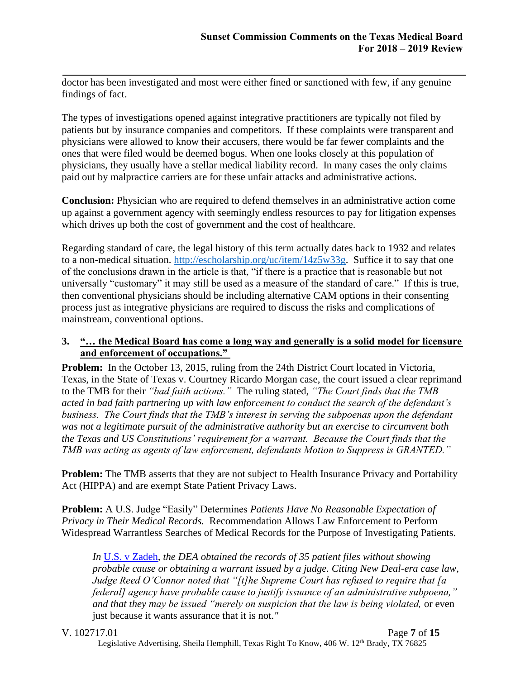doctor has been investigated and most were either fined or sanctioned with few, if any genuine findings of fact.

The types of investigations opened against integrative practitioners are typically not filed by patients but by insurance companies and competitors. If these complaints were transparent and physicians were allowed to know their accusers, there would be far fewer complaints and the ones that were filed would be deemed bogus. When one looks closely at this population of physicians, they usually have a stellar medical liability record. In many cases the only claims paid out by malpractice carriers are for these unfair attacks and administrative actions.

**Conclusion:** Physician who are required to defend themselves in an administrative action come up against a government agency with seemingly endless resources to pay for litigation expenses which drives up both the cost of government and the cost of healthcare.

Regarding standard of care, the legal history of this term actually dates back to 1932 and relates to a non-medical situation. [http://escholarship.org/uc/item/14z5w33g.](http://escholarship.org/uc/item/14z5w33g) Suffice it to say that one of the conclusions drawn in the article is that, "if there is a practice that is reasonable but not universally "customary" it may still be used as a measure of the standard of care." If this is true, then conventional physicians should be including alternative CAM options in their consenting process just as integrative physicians are required to discuss the risks and complications of mainstream, conventional options.

#### <span id="page-7-0"></span>**3. "… the Medical Board has come a long way and generally is a solid model for licensure and enforcement of occupations."**

**Problem:** In the October 13, 2015, ruling from the 24th District Court located in Victoria, Texas, in the State of Texas v. Courtney Ricardo Morgan case, the court issued a clear reprimand to the TMB for their *"bad faith actions."* The ruling stated, *"The Court finds that the TMB acted in bad faith partnering up with law enforcement to conduct the search of the defendant's business. The Court finds that the TMB's interest in serving the subpoenas upon the defendant was not a legitimate pursuit of the administrative authority but an exercise to circumvent both the Texas and US Constitutions' requirement for a warrant. Because the Court finds that the TMB was acting as agents of law enforcement, defendants Motion to Suppress is GRANTED."*

**Problem:** The TMB asserts that they are not subject to Health Insurance Privacy and Portability Act (HIPPA) and are exempt State Patient Privacy Laws.

**Problem:** A U.S. Judge "Easily" Determines *Patients Have No Reasonable Expectation of Privacy in Their Medical Records.* Recommendation Allows Law Enforcement to Perform Widespread Warrantless Searches of Medical Records for the Purpose of Investigating Patients.

*In* [U.S. v Zadeh](http://www.leagle.com/decision/In%20FDCO%2020150203F05/U.S.%20v.%20ZADEH)*, the DEA obtained the records of 35 patient files without showing probable cause or obtaining a warrant issued by a judge. Citing New Deal-era case law, Judge Reed O'Connor noted that "[t]he Supreme Court has refused to require that [a federal] agency have probable cause to justify issuance of an administrative subpoena," and that they may be issued "merely on suspicion that the law is being violated, or even* just because it wants assurance that it is not.*"*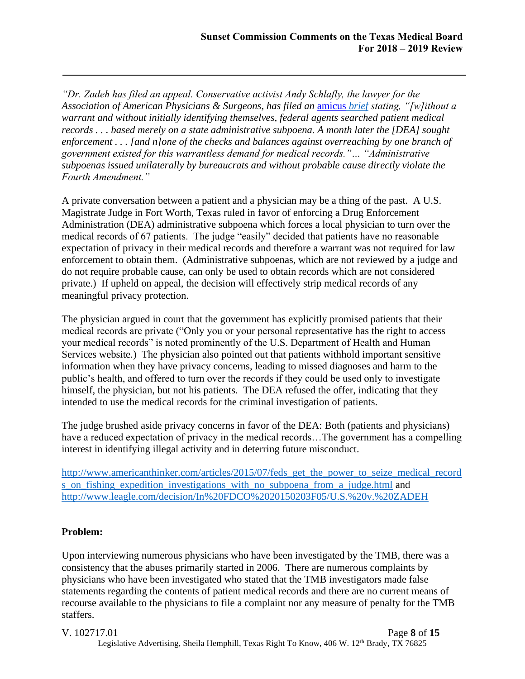*"Dr. Zadeh has filed an appeal. Conservative activist Andy Schlafly, the lawyer for the Association of American Physicians & Surgeons, has filed an* [amicus](http://www.aapsonline.org/judicial/Zadeh-Amicus-7-13-2015.pdf) *brief stating, "[w]ithout a warrant and without initially identifying themselves, federal agents searched patient medical records . . . based merely on a state administrative subpoena. A month later the [DEA] sought enforcement . . . [and n]one of the checks and balances against overreaching by one branch of government existed for this warrantless demand for medical records."… "Administrative subpoenas issued unilaterally by bureaucrats and without probable cause directly violate the Fourth Amendment."*

A private conversation between a patient and a physician may be a thing of the past. A U.S. Magistrate Judge in Fort Worth, Texas ruled in favor of enforcing a Drug Enforcement Administration (DEA) administrative subpoena which forces a local physician to turn over the medical records of 67 patients. The judge "easily" decided that patients have no reasonable expectation of privacy in their medical records and therefore a warrant was not required for law enforcement to obtain them. (Administrative subpoenas, which are not reviewed by a judge and do not require probable cause, can only be used to obtain records which are not considered private.) If upheld on appeal, the decision will effectively strip medical records of any meaningful privacy protection.

The physician argued in court that the government has explicitly promised patients that their medical records are private ("Only you or your personal representative has the right to access your medical records" is noted prominently of the U.S. Department of Health and Human Services website.) The physician also pointed out that patients withhold important sensitive information when they have privacy concerns, leading to missed diagnoses and harm to the public's health, and offered to turn over the records if they could be used only to investigate himself, the physician, but not his patients. The DEA refused the offer, indicating that they intended to use the medical records for the criminal investigation of patients.

The judge brushed aside privacy concerns in favor of the DEA: Both (patients and physicians) have a reduced expectation of privacy in the medical records...The government has a compelling interest in identifying illegal activity and in deterring future misconduct.

[http://www.americanthinker.com/articles/2015/07/feds\\_get\\_the\\_power\\_to\\_seize\\_medical\\_record](http://www.americanthinker.com/articles/2015/07/feds_get_the_power_to_seize_medical_records_on_fishing_expedition_investigations_with_no_subpoena_from_a_judge.html) [s\\_on\\_fishing\\_expedition\\_investigations\\_with\\_no\\_subpoena\\_from\\_a\\_judge.html](http://www.americanthinker.com/articles/2015/07/feds_get_the_power_to_seize_medical_records_on_fishing_expedition_investigations_with_no_subpoena_from_a_judge.html) and <http://www.leagle.com/decision/In%20FDCO%2020150203F05/U.S.%20v.%20ZADEH>

#### **Problem:**

Upon interviewing numerous physicians who have been investigated by the TMB, there was a consistency that the abuses primarily started in 2006. There are numerous complaints by physicians who have been investigated who stated that the TMB investigators made false statements regarding the contents of patient medical records and there are no current means of recourse available to the physicians to file a complaint nor any measure of penalty for the TMB staffers.

V. 102717.01 Page **8** of **15** Legislative Advertising, Sheila Hemphill, Texas Right To Know, 406 W. 12<sup>th</sup> Brady, TX 76825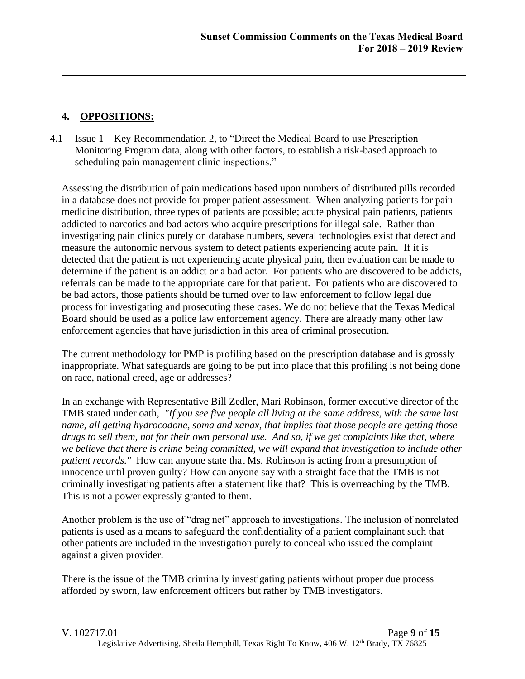## <span id="page-9-0"></span>**4. OPPOSITIONS:**

<span id="page-9-1"></span>4.1 Issue 1 – Key Recommendation 2, to "Direct the Medical Board to use Prescription Monitoring Program data, along with other factors, to establish a risk-based approach to scheduling pain management clinic inspections."

Assessing the distribution of pain medications based upon numbers of distributed pills recorded in a database does not provide for proper patient assessment. When analyzing patients for pain medicine distribution, three types of patients are possible; acute physical pain patients, patients addicted to narcotics and bad actors who acquire prescriptions for illegal sale. Rather than investigating pain clinics purely on database numbers, several technologies exist that detect and measure the autonomic nervous system to detect patients experiencing acute pain. If it is detected that the patient is not experiencing acute physical pain, then evaluation can be made to determine if the patient is an addict or a bad actor. For patients who are discovered to be addicts, referrals can be made to the appropriate care for that patient. For patients who are discovered to be bad actors, those patients should be turned over to law enforcement to follow legal due process for investigating and prosecuting these cases. We do not believe that the Texas Medical Board should be used as a police law enforcement agency. There are already many other law enforcement agencies that have jurisdiction in this area of criminal prosecution.

The current methodology for PMP is profiling based on the prescription database and is grossly inappropriate. What safeguards are going to be put into place that this profiling is not being done on race, national creed, age or addresses?

In an exchange with Representative Bill Zedler, Mari Robinson, former executive director of the TMB stated under oath, *"If you see five people all living at the same address, with the same last name, all getting hydrocodone, soma and xanax, that implies that those people are getting those drugs to sell them, not for their own personal use. And so, if we get complaints like that, where we believe that there is crime being committed, we will expand that investigation to include other patient records."* How can anyone state that Ms. Robinson is acting from a presumption of innocence until proven guilty? How can anyone say with a straight face that the TMB is not criminally investigating patients after a statement like that? This is overreaching by the TMB. This is not a power expressly granted to them.

Another problem is the use of "drag net" approach to investigations. The inclusion of nonrelated patients is used as a means to safeguard the confidentiality of a patient complainant such that other patients are included in the investigation purely to conceal who issued the complaint against a given provider.

There is the issue of the TMB criminally investigating patients without proper due process afforded by sworn, law enforcement officers but rather by TMB investigators.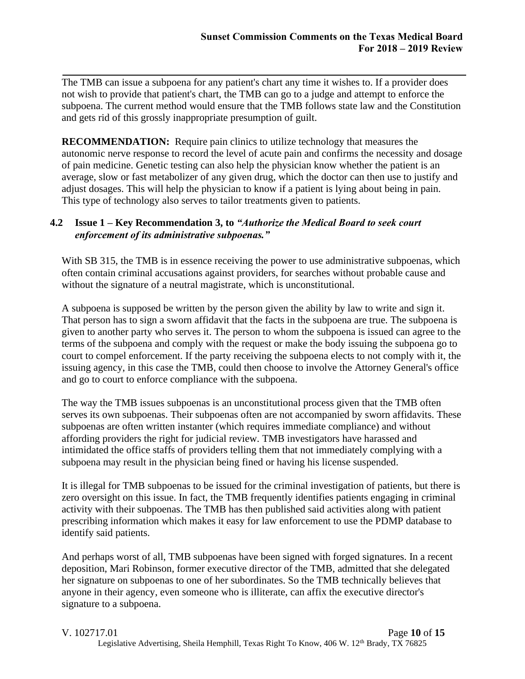The TMB can issue a subpoena for any patient's chart any time it wishes to. If a provider does not wish to provide that patient's chart, the TMB can go to a judge and attempt to enforce the subpoena. The current method would ensure that the TMB follows state law and the Constitution and gets rid of this grossly inappropriate presumption of guilt.

**RECOMMENDATION:** Require pain clinics to utilize technology that measures the autonomic nerve response to record the level of acute pain and confirms the necessity and dosage of pain medicine. Genetic testing can also help the physician know whether the patient is an average, slow or fast metabolizer of any given drug, which the doctor can then use to justify and adjust dosages. This will help the physician to know if a patient is lying about being in pain. This type of technology also serves to tailor treatments given to patients.

#### <span id="page-10-0"></span>**4.2 Issue 1 – Key Recommendation 3, to** *"Authorize the Medical Board to seek court enforcement of its administrative subpoenas."*

With SB 315, the TMB is in essence receiving the power to use administrative subpoenas, which often contain criminal accusations against providers, for searches without probable cause and without the signature of a neutral magistrate, which is unconstitutional.

A subpoena is supposed be written by the person given the ability by law to write and sign it. That person has to sign a sworn affidavit that the facts in the subpoena are true. The subpoena is given to another party who serves it. The person to whom the subpoena is issued can agree to the terms of the subpoena and comply with the request or make the body issuing the subpoena go to court to compel enforcement. If the party receiving the subpoena elects to not comply with it, the issuing agency, in this case the TMB, could then choose to involve the Attorney General's office and go to court to enforce compliance with the subpoena.

The way the TMB issues subpoenas is an unconstitutional process given that the TMB often serves its own subpoenas. Their subpoenas often are not accompanied by sworn affidavits. These subpoenas are often written instanter (which requires immediate compliance) and without affording providers the right for judicial review. TMB investigators have harassed and intimidated the office staffs of providers telling them that not immediately complying with a subpoena may result in the physician being fined or having his license suspended.

It is illegal for TMB subpoenas to be issued for the criminal investigation of patients, but there is zero oversight on this issue. In fact, the TMB frequently identifies patients engaging in criminal activity with their subpoenas. The TMB has then published said activities along with patient prescribing information which makes it easy for law enforcement to use the PDMP database to identify said patients.

And perhaps worst of all, TMB subpoenas have been signed with forged signatures. In a recent deposition, Mari Robinson, former executive director of the TMB, admitted that she delegated her signature on subpoenas to one of her subordinates. So the TMB technically believes that anyone in their agency, even someone who is illiterate, can affix the executive director's signature to a subpoena.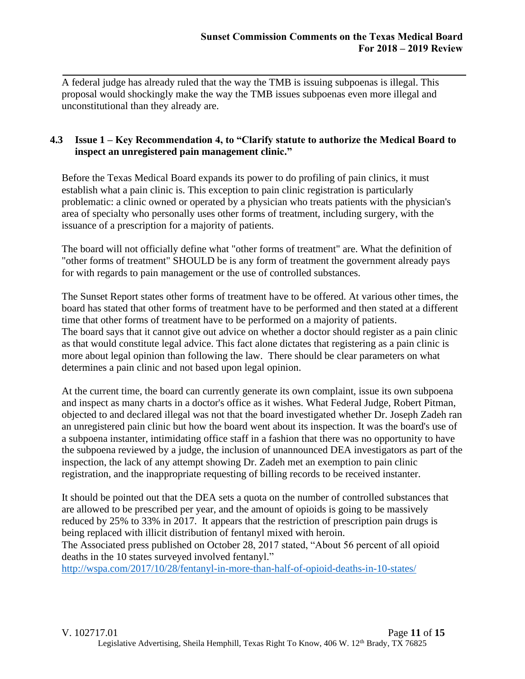A federal judge has already ruled that the way the TMB is issuing subpoenas is illegal. This proposal would shockingly make the way the TMB issues subpoenas even more illegal and unconstitutional than they already are.

#### <span id="page-11-0"></span>**4.3 Issue 1 – Key Recommendation 4, to "Clarify statute to authorize the Medical Board to inspect an unregistered pain management clinic."**

Before the Texas Medical Board expands its power to do profiling of pain clinics, it must establish what a pain clinic is. This exception to pain clinic registration is particularly problematic: a clinic owned or operated by a physician who treats patients with the physician's area of specialty who personally uses other forms of treatment, including surgery, with the issuance of a prescription for a majority of patients.

The board will not officially define what "other forms of treatment" are. What the definition of "other forms of treatment" SHOULD be is any form of treatment the government already pays for with regards to pain management or the use of controlled substances.

The Sunset Report states other forms of treatment have to be offered. At various other times, the board has stated that other forms of treatment have to be performed and then stated at a different time that other forms of treatment have to be performed on a majority of patients. The board says that it cannot give out advice on whether a doctor should register as a pain clinic as that would constitute legal advice. This fact alone dictates that registering as a pain clinic is more about legal opinion than following the law. There should be clear parameters on what determines a pain clinic and not based upon legal opinion.

At the current time, the board can currently generate its own complaint, issue its own subpoena and inspect as many charts in a doctor's office as it wishes. What Federal Judge, Robert Pitman, objected to and declared illegal was not that the board investigated whether Dr. Joseph Zadeh ran an unregistered pain clinic but how the board went about its inspection. It was the board's use of a subpoena instanter, intimidating office staff in a fashion that there was no opportunity to have the subpoena reviewed by a judge, the inclusion of unannounced DEA investigators as part of the inspection, the lack of any attempt showing Dr. Zadeh met an exemption to pain clinic registration, and the inappropriate requesting of billing records to be received instanter.

It should be pointed out that the DEA sets a quota on the number of controlled substances that are allowed to be prescribed per year, and the amount of opioids is going to be massively reduced by 25% to 33% in 2017. It appears that the restriction of prescription pain drugs is being replaced with illicit distribution of fentanyl mixed with heroin.

The Associated press published on October 28, 2017 stated, "About 56 percent of all opioid deaths in the 10 states surveyed involved fentanyl."

<http://wspa.com/2017/10/28/fentanyl-in-more-than-half-of-opioid-deaths-in-10-states/>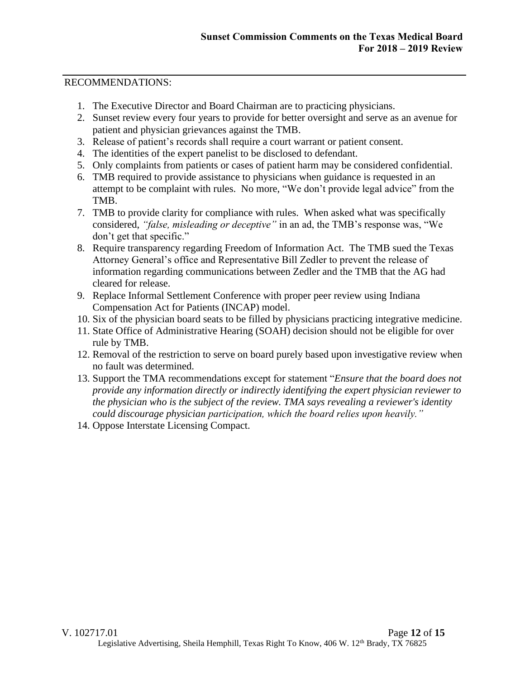#### RECOMMENDATIONS:

- 1. The Executive Director and Board Chairman are to practicing physicians.
- 2. Sunset review every four years to provide for better oversight and serve as an avenue for patient and physician grievances against the TMB.
- 3. Release of patient's records shall require a court warrant or patient consent.
- 4. The identities of the expert panelist to be disclosed to defendant.
- 5. Only complaints from patients or cases of patient harm may be considered confidential.
- 6. TMB required to provide assistance to physicians when guidance is requested in an attempt to be complaint with rules. No more, "We don't provide legal advice" from the TMB.
- 7. TMB to provide clarity for compliance with rules. When asked what was specifically considered, *"false, misleading or deceptive"* in an ad, the TMB's response was, "We don't get that specific."
- 8. Require transparency regarding Freedom of Information Act. The TMB sued the Texas Attorney General's office and Representative Bill Zedler to prevent the release of information regarding communications between Zedler and the TMB that the AG had cleared for release.
- 9. Replace Informal Settlement Conference with proper peer review using Indiana Compensation Act for Patients (INCAP) model.
- 10. Six of the physician board seats to be filled by physicians practicing integrative medicine.
- 11. State Office of Administrative Hearing (SOAH) decision should not be eligible for over rule by TMB.
- 12. Removal of the restriction to serve on board purely based upon investigative review when no fault was determined.
- 13. Support the TMA recommendations except for statement "*Ensure that the board does not provide any information directly or indirectly identifying the expert physician reviewer to the physician who is the subject of the review. TMA says revealing a reviewer's identity could discourage physician participation, which the board relies upon heavily."*
- 14. Oppose Interstate Licensing Compact.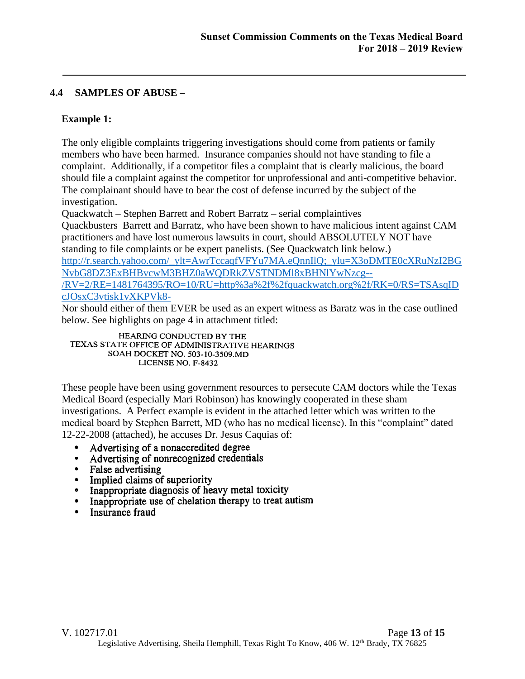#### <span id="page-13-0"></span>**4.4 SAMPLES OF ABUSE –**

#### **Example 1:**

The only eligible complaints triggering investigations should come from patients or family members who have been harmed. Insurance companies should not have standing to file a complaint. Additionally, if a competitor files a complaint that is clearly malicious, the board should file a complaint against the competitor for unprofessional and anti-competitive behavior. The complainant should have to bear the cost of defense incurred by the subject of the investigation.

Quackwatch – Stephen Barrett and Robert Barratz – serial complaintives

Quackbusters Barrett and Barratz, who have been shown to have malicious intent against CAM practitioners and have lost numerous lawsuits in court, should ABSOLUTELY NOT have standing to file complaints or be expert panelists. (See Quackwatch link below.)

http://r.search.yahoo.com/\_ylt=AwrTccaqfVFYu7MA.eQnnIlQ;\_ylu=X3oDMTE0cXRuNzI2BG NvbG8DZ3ExBHBvcwM3BHZ0aWQDRkZVSTNDMl8xBHNlYwNzcg--

/RV=2/RE=1481764395/RO=10/RU=http%3a%2f%2fquackwatch.org%2f/RK=0/RS=TSAsqID cJOsxC3vtisk1vXKPVk8-

Nor should either of them EVER be used as an expert witness as Baratz was in the case outlined below. See highlights on page 4 in attachment titled:

HEARING CONDUCTED BY THE TEXAS STATE OFFICE OF ADMINISTRATIVE HEARINGS SOAH DOCKET NO. 503-10-3509 MD LICENSE NO. F-8432

These people have been using government resources to persecute CAM doctors while the Texas Medical Board (especially Mari Robinson) has knowingly cooperated in these sham investigations. A Perfect example is evident in the attached letter which was written to the medical board by Stephen Barrett, MD (who has no medical license). In this "complaint" dated 12-22-2008 (attached), he accuses Dr. Jesus Caquias of:

- $\bullet$ Advertising of a nonaccredited degree
- Advertising of nonrecognized credentials
- False advertising
- Implied claims of superiority
- Inappropriate diagnosis of heavy metal toxicity
- Inappropriate use of chelation therapy to treat autism
- Insurance fraud